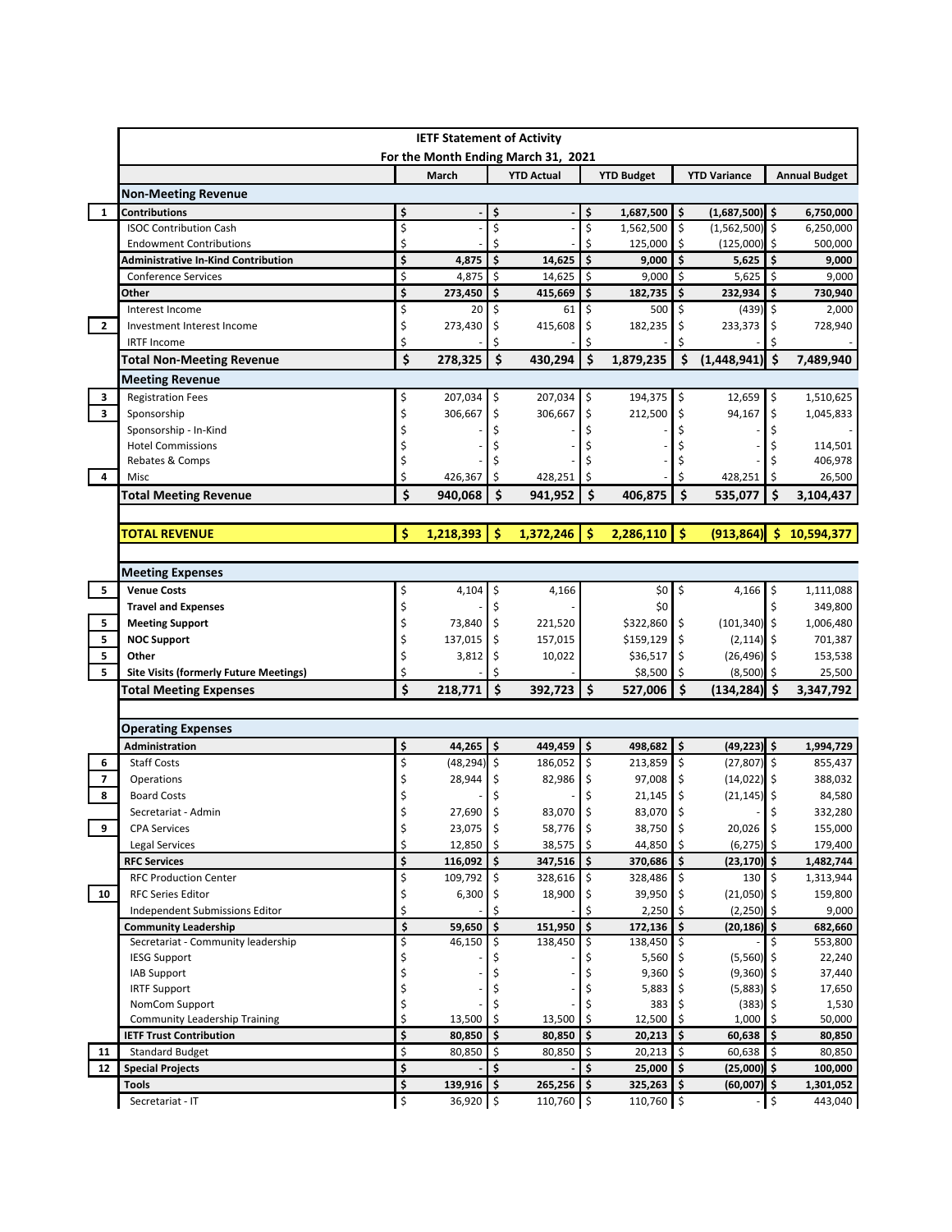|                                                    |                                                    |                               | <b>IETF Statement of Activity</b> |                                                          |                     |                          |                          |                       |                     |                                                                                                                                       |  |  |  |
|----------------------------------------------------|----------------------------------------------------|-------------------------------|-----------------------------------|----------------------------------------------------------|---------------------|--------------------------|--------------------------|-----------------------|---------------------|---------------------------------------------------------------------------------------------------------------------------------------|--|--|--|
|                                                    |                                                    |                               | March                             | For the Month Ending March 31, 2021<br><b>YTD Actual</b> |                     | <b>YTD Budget</b>        | <b>YTD Variance</b>      |                       |                     |                                                                                                                                       |  |  |  |
|                                                    |                                                    |                               |                                   |                                                          |                     |                          |                          |                       |                     | <b>Annual Budget</b>                                                                                                                  |  |  |  |
|                                                    | <b>Non-Meeting Revenue</b><br><b>Contributions</b> |                               |                                   |                                                          |                     |                          |                          |                       |                     |                                                                                                                                       |  |  |  |
| 1                                                  |                                                    | \$                            |                                   | s                                                        | Ś                   | 1,687,500                | \$.                      | $(1,687,500)$ \$      |                     | 6,750,000                                                                                                                             |  |  |  |
|                                                    | <b>ISOC Contribution Cash</b>                      | \$                            |                                   | \$                                                       | \$                  | 1,562,500                | \$                       | $(1,562,500)$ \$      |                     | 6,250,000                                                                                                                             |  |  |  |
|                                                    | <b>Endowment Contributions</b>                     | \$                            |                                   | \$                                                       |                     | 125,000                  | \$                       | (125,000)             | \$                  | 500,000                                                                                                                               |  |  |  |
|                                                    | Administrative In-Kind Contribution                | \$                            | 4,875                             | \$<br>14,625                                             | \$                  | 9,000                    | $\mathsf{\$}$            | 5,625                 | \$                  | 9,000                                                                                                                                 |  |  |  |
|                                                    | <b>Conference Services</b>                         | \$                            | 4,875                             | \$<br>14,625                                             | \$                  | 9,000                    | $\overline{\phantom{a}}$ | 5,625                 | \$                  | 9,000                                                                                                                                 |  |  |  |
|                                                    | Other                                              | \$                            | 273,450                           | \$<br>415,669                                            | \$                  | 182,735                  | $\ddot{\mathsf{s}}$      | 232,934               | \$                  | 730,940                                                                                                                               |  |  |  |
|                                                    | Interest Income                                    | \$                            | 20                                | \$<br>61                                                 | \$                  | 500                      | \$                       | $(439)$ \$            |                     | 2,000                                                                                                                                 |  |  |  |
| $\overline{2}$                                     | Investment Interest Income                         | \$                            | 273,430                           | \$<br>415,608                                            | \$                  | 182,235                  | \$                       | 233,373               | \$.                 | 728,940                                                                                                                               |  |  |  |
|                                                    | <b>IRTF Income</b>                                 | \$                            |                                   |                                                          |                     |                          |                          |                       |                     |                                                                                                                                       |  |  |  |
|                                                    | <b>Total Non-Meeting Revenue</b>                   | \$                            | 278,325                           | \$<br>430,294                                            | \$                  | 1,879,235                | \$                       | (1,448,941)           | -\$                 | 7,489,940                                                                                                                             |  |  |  |
|                                                    | <b>Meeting Revenue</b>                             |                               |                                   |                                                          |                     |                          |                          |                       |                     |                                                                                                                                       |  |  |  |
| 3                                                  | <b>Registration Fees</b>                           | \$                            | 207,034                           | 207,034<br>\$                                            | \$                  | 194,375                  | \$                       | 12,659                | \$                  | 1,510,625                                                                                                                             |  |  |  |
| $\overline{\mathbf{3}}$                            | Sponsorship                                        | \$                            | 306,667                           | \$<br>306,667                                            | \$                  | 212,500                  | \$                       | 94,167                | \$                  | 1,045,833                                                                                                                             |  |  |  |
|                                                    | Sponsorship - In-Kind                              | \$                            |                                   |                                                          |                     |                          |                          |                       | Ś                   |                                                                                                                                       |  |  |  |
|                                                    | <b>Hotel Commissions</b>                           | Ś                             |                                   |                                                          |                     |                          |                          |                       |                     | 114,501                                                                                                                               |  |  |  |
|                                                    | Rebates & Comps                                    | \$                            |                                   |                                                          |                     |                          |                          |                       |                     | 406,978                                                                                                                               |  |  |  |
| 4                                                  | Misc                                               | \$                            | 426,367                           | \$<br>428,251                                            |                     |                          | Ś                        | 428,251               | \$                  | 26,500                                                                                                                                |  |  |  |
|                                                    | <b>Total Meeting Revenue</b>                       | \$                            | 940,068                           | Ś<br>941,952                                             | Ś.                  | 406,875                  | Ś                        | 535,077               | Ś                   | 3,104,437                                                                                                                             |  |  |  |
|                                                    |                                                    |                               |                                   |                                                          |                     |                          |                          |                       |                     |                                                                                                                                       |  |  |  |
|                                                    | <b>TOTAL REVENUE</b>                               | Ŝ                             | 1,218,393                         | Ŝ<br>1,372,246                                           | Ŝ                   | 2,286,110                | <b>S</b>                 | (913, 864)            | -\$                 | 10,594,377                                                                                                                            |  |  |  |
|                                                    |                                                    |                               |                                   |                                                          |                     |                          |                          |                       |                     |                                                                                                                                       |  |  |  |
|                                                    |                                                    |                               |                                   |                                                          |                     |                          |                          |                       |                     |                                                                                                                                       |  |  |  |
|                                                    | <b>Meeting Expenses</b>                            |                               |                                   |                                                          |                     |                          |                          |                       |                     |                                                                                                                                       |  |  |  |
| 5                                                  | <b>Venue Costs</b>                                 | \$                            | 4,104                             | 4,166<br>Ş                                               |                     | \$0                      | \$                       | 4,166                 | \$                  | 1,111,088                                                                                                                             |  |  |  |
| 5                                                  | <b>Travel and Expenses</b>                         | \$                            |                                   |                                                          |                     | \$0                      |                          |                       | Ś                   | 349,800                                                                                                                               |  |  |  |
|                                                    | <b>Meeting Support</b>                             | \$                            | 73,840                            | 221,520<br>\$                                            |                     | \$322,860                | \$                       | $(101, 340)$ \$       |                     | 1,006,480                                                                                                                             |  |  |  |
|                                                    |                                                    |                               |                                   |                                                          |                     | \$159,129                | \$                       | (2, 114)              | \$                  | 701,387                                                                                                                               |  |  |  |
|                                                    | <b>NOC Support</b>                                 | \$                            | 137,015                           | \$<br>157,015                                            |                     |                          |                          |                       |                     |                                                                                                                                       |  |  |  |
|                                                    | Other                                              | \$                            | 3,812                             | 10,022<br>\$                                             |                     | \$36,517                 | \$                       | $(26, 496)$ \$        |                     |                                                                                                                                       |  |  |  |
|                                                    | <b>Site Visits (formerly Future Meetings)</b>      | \$                            |                                   |                                                          |                     | \$8,500                  | \$                       | (8,500)               | -\$                 |                                                                                                                                       |  |  |  |
|                                                    | <b>Total Meeting Expenses</b>                      | \$                            | 218,771                           | \$<br>392,723                                            | $\ddot{\bm{\zeta}}$ | 527,006                  | Ŝ.                       | $(134, 284)$ \$       |                     |                                                                                                                                       |  |  |  |
|                                                    |                                                    |                               |                                   |                                                          |                     |                          |                          |                       |                     |                                                                                                                                       |  |  |  |
|                                                    |                                                    |                               |                                   |                                                          |                     |                          |                          |                       |                     |                                                                                                                                       |  |  |  |
|                                                    | <b>Operating Expenses</b>                          |                               |                                   |                                                          |                     |                          |                          |                       |                     | 153,538<br>25,500<br>3,347,792                                                                                                        |  |  |  |
|                                                    | <b>Administration</b>                              | \$                            | 44,265                            | \$<br>449,459                                            | \$                  | 498,682                  | \$                       | (49, 223)             | $\ddot{\bm{\zeta}}$ |                                                                                                                                       |  |  |  |
|                                                    | <b>Staff Costs</b>                                 | \$                            | (48, 294)                         | \$<br>186,052                                            | \$                  | 213,859                  | \$                       | (27, 807)             | \$                  |                                                                                                                                       |  |  |  |
|                                                    | Operations                                         | \$                            | 28,944                            | 82,986<br>\$                                             | \$                  | 97,008                   | \$                       | $(14,022)$ \$         |                     |                                                                                                                                       |  |  |  |
|                                                    | <b>Board Costs</b>                                 | \$                            |                                   |                                                          | \$                  | 21,145                   | \$                       | $(21, 145)$ \$        |                     |                                                                                                                                       |  |  |  |
|                                                    | Secretariat - Admin                                | Ś                             | 27,690                            | 83,070<br>-\$                                            | \$                  | 83,070 \$                |                          |                       | \$                  | 1,994,729<br>855,437<br>388,032<br>84,580<br>332,280                                                                                  |  |  |  |
|                                                    | <b>CPA Services</b>                                | \$                            | $23,075$ \$                       | 58,776 \$                                                |                     | 38,750 \$                |                          | $20,026$ \$           |                     | 155,000                                                                                                                               |  |  |  |
|                                                    | Legal Services                                     | \$                            | 12,850                            | \$<br>38,575                                             | -\$                 | 44,850 \$                |                          | $(6, 275)$ \$         |                     | 179,400                                                                                                                               |  |  |  |
|                                                    | <b>RFC Services</b>                                | \$                            | 116,092                           | \$<br>347,516                                            | l \$                | 370,686 \$               |                          | $(23, 170)$ \$        |                     |                                                                                                                                       |  |  |  |
|                                                    | <b>RFC Production Center</b>                       | \$                            | 109,792                           | \$<br>328,616                                            | $\ddot{\mathsf{S}}$ | 328,486 \$               |                          | $130 \, \space{1}$ \$ |                     |                                                                                                                                       |  |  |  |
|                                                    | <b>RFC Series Editor</b>                           | \$                            | 6,300                             | \$<br>18,900                                             | \$                  | 39,950                   | \$                       | $(21,050)$ \$         |                     |                                                                                                                                       |  |  |  |
|                                                    | Independent Submissions Editor                     | \$                            |                                   | \$                                                       | Ś.                  | $2,250$ \$               |                          | $(2,250)$ \$          |                     |                                                                                                                                       |  |  |  |
|                                                    | <b>Community Leadership</b>                        | \$                            | 59,650                            | \$<br>151,950                                            | \$                  | $172,136$ \$             |                          | $(20, 186)$ \$        |                     |                                                                                                                                       |  |  |  |
|                                                    | Secretariat - Community leadership                 | \$                            | 46,150                            | 138,450                                                  | \$                  | 138,450                  | \$                       |                       | \$.                 |                                                                                                                                       |  |  |  |
|                                                    | <b>IESG Support</b>                                | \$                            |                                   |                                                          |                     | 5,560                    | \$                       | $(5,560)$ \$          |                     |                                                                                                                                       |  |  |  |
|                                                    | <b>IAB Support</b>                                 | \$                            |                                   |                                                          | \$                  | 9,360                    | l \$                     | $(9,360)$ \$          |                     |                                                                                                                                       |  |  |  |
|                                                    | <b>IRTF Support</b>                                | \$                            |                                   |                                                          |                     | 5,883                    | \$                       | $(5,883)$ \$          |                     |                                                                                                                                       |  |  |  |
| 5<br>5<br>5<br>6<br>$\overline{7}$<br>8<br>9<br>10 | NomCom Support                                     | \$                            |                                   |                                                          |                     | 383                      | \$                       | (383)                 | -\$                 |                                                                                                                                       |  |  |  |
|                                                    | <b>Community Leadership Training</b>               | \$                            | 13,500                            | 13,500<br>\$                                             | \$                  | 12,500                   | Ŝ                        | 1,000                 |                     |                                                                                                                                       |  |  |  |
|                                                    | <b>IETF Trust Contribution</b>                     | \$                            | 80,850                            | \$<br>80,850                                             | \$                  | 20,213                   | S.                       | 60,638                | \$.                 |                                                                                                                                       |  |  |  |
| 11                                                 | <b>Standard Budget</b>                             | \$                            | 80,850                            | \$<br>80,850                                             | \$                  | 20,213                   | \$                       | 60,638                | \$                  | 1,482,744<br>1,313,944<br>159,800<br>9,000<br>682,660<br>553,800<br>22,240<br>37,440<br>17,650<br>1,530<br>50,000<br>80,850<br>80,850 |  |  |  |
| 12                                                 | <b>Special Projects</b>                            | \$                            |                                   | \$                                                       | \$                  | $25,000$ \$              |                          | $(25,000)$ \$         |                     |                                                                                                                                       |  |  |  |
|                                                    | Tools                                              | \$<br>$\overline{\mathbf{v}}$ | 139,916<br>36,920 \$              | 265,256<br>Ŝ.<br>110,760 \$                              | Ŝ.                  | 325,263 \$<br>110,760 \$ |                          | (60,007)              | Ŝ.<br>-   \$        | 100,000<br>1,301,052                                                                                                                  |  |  |  |